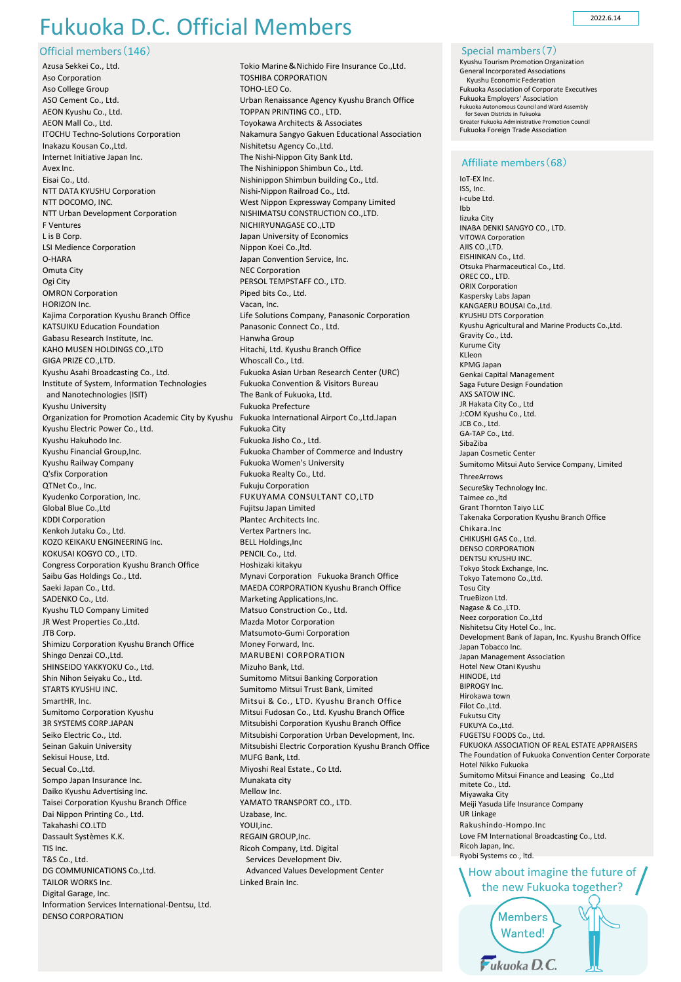## Fukuoka D.C. Official Members

Official members(146)

Azusa Sekkei Co., Ltd. Aso Corporation Aso College Group ASO Cement Co., Ltd. AEON Kyushu Co., Ltd. AEON Mall Co., Ltd. ITOCHU Techno-Solutions Corporation Inakazu Kousan Co.,Ltd. Internet Initiative Japan Inc. Avex Inc. Eisai Co., Ltd. NTT DATA KYUSHU Corporation NTT DOCOMO, INC. NTT Urban Development Corporation F Ventures L is B Corp. LSI Medience Corporation O-HARA Omuta City Ogi City OMRON Corporation HORIZON Inc. Kajima Corporation Kyushu Branch Office KATSUIKU Education Foundation Gabasu Research Institute, Inc. KAHO MUSEN HOLDINGS CO.,LTD GIGA PRIZE CO.,LTD. Kyushu Asahi Broadcasting Co., Ltd. Institute of System, Information Technologies and Nanotechnologies (ISIT) Kyushu University Organization for Promotion Academic City by Kyushu Fukuoka International Airport Co.,Ltd.Japan Kyushu Electric Power Co., Ltd. Kyushu Hakuhodo Inc. Kyushu Financial Group,Inc. Kyushu Railway Company Q'sfix Corporation QTNet Co., Inc. Kyudenko Corporation, Inc. Global Blue Co.,Ltd KDDI Corporation Kenkoh Jutaku Co., Ltd. KOZO KEIKAKU ENGINEERING Inc. KOKUSAI KOGYO CO., LTD. Congress Corporation Kyushu Branch Office Saibu Gas Holdings Co., Ltd. Saeki Japan Co., Ltd. SADENKO Co., Ltd. Kyushu TLO Company Limited JR West Properties Co.,Ltd. JTB Corp. Shimizu Corporation Kyushu Branch Office Shingo Denzai CO.,Ltd. SHINSEIDO YAKKYOKU Co., Ltd. Shin Nihon Seiyaku Co., Ltd. STARTS KYUSHU INC. SmartHR, Inc. Sumitomo Corporation Kyushu 3R SYSTEMS CORP.JAPAN Seiko Electric Co., Ltd. Seinan Gakuin University Sekisui House, Ltd. Secual Co.,Ltd. Sompo Japan Insurance Inc. Daiko Kyushu Advertising Inc. Taisei Corporation Kyushu Branch Office Dai Nippon Printing Co., Ltd. Takahashi CO.LTD Dassault Systèmes K.K. TIS Inc. T&S Co., Ltd. DG COMMUNICATIONS Co.,Ltd. TAILOR WORKS Inc. Digital Garage, Inc. Information Services International-Dentsu, Ltd. DENSO CORPORATION

Tokio Marine&Nichido Fire Insurance Co.,Ltd. TOSHIBA CORPORATION TOHO-LEO Co. Urban Renaissance Agency Kyushu Branch Office TOPPAN PRINTING CO., LTD. Toyokawa Architects & Associates Nakamura Sangyo Gakuen Educational Association Nishitetsu Agency Co.,Ltd. The Nishi-Nippon City Bank Ltd. The Nishinippon Shimbun Co., Ltd. Nishinippon Shimbun building Co., Ltd. Nishi-Nippon Railroad Co., Ltd. West Nippon Expressway Company Limited NISHIMATSU CONSTRUCTION CO.,LTD. NICHIRYUNAGASE CO.,LTD Japan University of Economics Nippon Koei Co.,ltd. Japan Convention Service, Inc. NEC Corporation PERSOL TEMPSTAFF CO., LTD. Piped bits Co., Ltd. Vacan, Inc. Life Solutions Company, Panasonic Corporation Panasonic Connect Co., Ltd. Hanwha Group Hitachi, Ltd. Kyushu Branch Office Whoscall Co., Ltd. Fukuoka Asian Urban Research Center (URC) Fukuoka Convention & Visitors Bureau The Bank of Fukuoka, Ltd. Fukuoka Prefecture Fukuoka City Fukuoka Jisho Co., Ltd. Fukuoka Chamber of Commerce and Industry Fukuoka Women's University Fukuoka Realty Co., Ltd. Fukuju Corporation FUKUYAMA CONSULTANT CO,LTD Fujitsu Japan Limited Plantec Architects Inc. Vertex Partners Inc. BELL Holdings,Inc PENCIL Co., Ltd. Hoshizaki kitakyu Mynavi Corporation Fukuoka Branch Office MAEDA CORPORATION Kyushu Branch Office Marketing Applications,Inc. Matsuo Construction Co., Ltd. Mazda Motor Corporation Matsumoto-Gumi Corporation Money Forward, Inc. MARUBENI CORPORATION Mizuho Bank, Ltd. Sumitomo Mitsui Banking Corporation Sumitomo Mitsui Trust Bank, Limited Mitsui & Co., LTD. Kyushu Branch Office Mitsui Fudosan Co., Ltd. Kyushu Branch Office Mitsubishi Corporation Kyushu Branch Office Mitsubishi Corporation Urban Development, Inc. Mitsubishi Electric Corporation Kyushu Branch Office MUFG Bank, Ltd. Miyoshi Real Estate., Co Ltd. Munakata city Mellow Inc. YAMATO TRANSPORT CO., LTD. Uzabase, Inc. YOUI,inc. REGAIN GROUP,Inc. Ricoh Company, Ltd. Digital Services Development Div. Advanced Values Development Center Linked Brain Inc.

2022.6.14

Special mambers(7) Kyushu Tourism Promotion Organization General Incorporated Associations Kyushu Economic Federation Fukuoka Association of Corporate Executives Fukuoka Employers' Association Fukuoka Autonomous Council and Ward Assembly for Seven Districts in Fukuoka Greater Fukuoka Administrative Promotion Council Fukuoka Foreign Trade Association

## Affiliate members(68)

How about imagine the future of / the new Fukuoka together? IoT-EX Inc. ISS, Inc. i-cube Ltd. Ibb Iizuka City INABA DENKI SANGYO CO., LTD. VITOWA Corporation AJIS CO.,LTD. EISHINKAN Co., Ltd. Otsuka Pharmaceutical Co., Ltd. OREC CO., LTD. ORIX Corporation Kaspersky Labs Japan KANGAERU BOUSALCO, Ltd. KYUSHU DTS Corporation Kyushu Agricultural and Marine Products Co.,Ltd. Gravity Co., Ltd. Kurume City KLleon KPMG Japan Genkai Capital Management Saga Future Design Foundation AXS SATOW INC. JR Hakata City Co., Ltd J:COM Kyushu Co., Ltd. JCB Co., Ltd. GA-TAP Co., Ltd. SibaZiba Japan Cosmetic Center Sumitomo Mitsui Auto Service Company, Limited ThreeArrows SecureSky Technology Inc. Taimee co.,ltd Grant Thornton Taiyo LLC Takenaka Corporation Kyushu Branch Office Chikara.Inc CHIKUSHI GAS Co., Ltd. DENSO CORPORATION DENTSU KYUSHU INC. Tokyo Stock Exchange, Inc. Tokyo Tatemono Co.,Ltd. Tosu City TrueBizon Ltd. Nagase & Co.,LTD. Neez corporation Co.,Ltd Nishitetsu City Hotel Co., Inc. Development Bank of Japan, Inc. Kyushu Branch Office Japan Tobacco Inc. Japan Management Association Hotel New Otani Kyushu HINODE, Ltd BIPROGY Inc. Hirokawa town Filot Co.,Ltd. Fukutsu City FUKUYA Co.,Ltd. FUGETSU FOODS Co., Ltd. FUKUOKA ASSOCIATION OF REAL ESTATE APPRAISERS The Foundation of Fukuoka Convention Center Corporate Hotel Nikko Fukuoka Sumitomo Mitsui Finance and Leasing Co.,Ltd mitete Co., Ltd. Miyawaka City Meiji Yasuda Life Insurance Company UR Linkage Rakushindo-Hompo.Inc Love FM International Broadcasting Co., Ltd. Ricoh Japan, Inc. Ryobi Systems co., ltd.

Members Wanted!  $F$ ukuoka D.C.